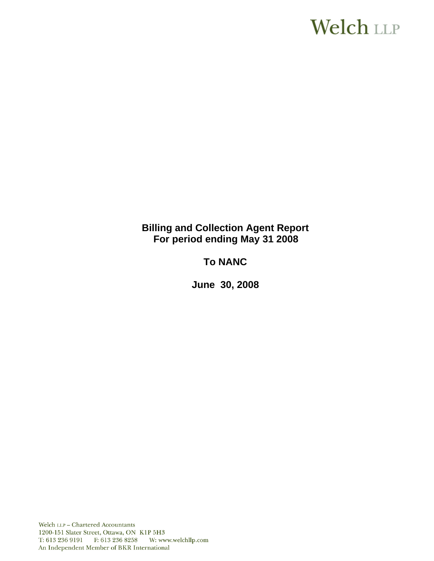# **Welch LLP**

# **Billing and Collection Agent Report For period ending May 31 2008**

# **To NANC**

 **June 30, 2008**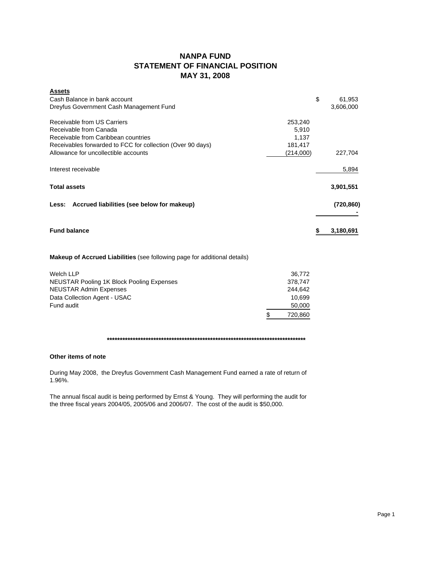## **NANPA FUND STATEMENT OF FINANCIAL POSITION MAY 31, 2008**

| <b>Assets</b>                                              |           |            |
|------------------------------------------------------------|-----------|------------|
| Cash Balance in bank account                               | \$        | 61,953     |
| Dreyfus Government Cash Management Fund                    |           | 3,606,000  |
| Receivable from US Carriers                                | 253,240   |            |
| Receivable from Canada                                     | 5.910     |            |
| Receivable from Caribbean countries                        | 1,137     |            |
| Receivables forwarded to FCC for collection (Over 90 days) | 181,417   |            |
| Allowance for uncollectible accounts                       | (214,000) | 227,704    |
| Interest receivable                                        |           | 5,894      |
| <b>Total assets</b>                                        |           | 3,901,551  |
| Less: Accrued liabilities (see below for makeup)           |           | (720, 860) |
|                                                            |           |            |
| <b>Fund balance</b>                                        |           | 3,180,691  |

## **Makeup of Accrued Liabilities** (see following page for additional details)

| Welch LLP                                        |     | 36.772  |
|--------------------------------------------------|-----|---------|
| <b>NEUSTAR Pooling 1K Block Pooling Expenses</b> |     | 378.747 |
| <b>NEUSTAR Admin Expenses</b>                    |     | 244.642 |
| Data Collection Agent - USAC                     |     | 10.699  |
| Fund audit                                       |     | 50,000  |
|                                                  | \$. | 720,860 |

#### **\*\*\*\*\*\*\*\*\*\*\*\*\*\*\*\*\*\*\*\*\*\*\*\*\*\*\*\*\*\*\*\*\*\*\*\*\*\*\*\*\*\*\*\*\*\*\*\*\*\*\*\*\*\*\*\*\*\*\*\*\*\*\*\*\*\*\*\*\*\*\*\*\*\*\*\*\***

#### **Other items of note**

During May 2008, the Dreyfus Government Cash Management Fund earned a rate of return of 1.96%.

The annual fiscal audit is being performed by Ernst & Young. They will performing the audit for the three fiscal years 2004/05, 2005/06 and 2006/07. The cost of the audit is \$50,000.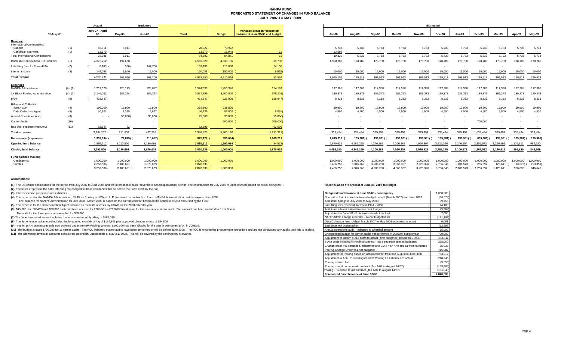#### **NANPA FUND FORECASTED STATEMENT OF CHANGES IN FUND BALANCEJULY 2007 TO MAY 2009**

|                                                |            | Actual                |                  |                 | <b>Budgeted</b>          |                  |                  |                                                                 |                 |                          |                 |                 |                 | <b>Estimated</b> |           |           |                 |                 |           |
|------------------------------------------------|------------|-----------------------|------------------|-----------------|--------------------------|------------------|------------------|-----------------------------------------------------------------|-----------------|--------------------------|-----------------|-----------------|-----------------|------------------|-----------|-----------|-----------------|-----------------|-----------|
| 31-May-08                                      |            | July 07 - April<br>08 |                  | May-08          | <b>Jun-08</b>            | Total            | <b>Budget</b>    | Variance between forecasted<br>balance at June 30/08 and budget | Jul-08          | Aug-08                   | Sep-08          | Oct-08          | <b>Nov-08</b>   | Dec-08           | $Jan-09$  | Feb-09    | Mar-09          | Apr-09          | May-09    |
| Revenue                                        |            |                       |                  |                 |                          |                  |                  |                                                                 |                 |                          |                 |                 |                 |                  |           |           |                 |                 |           |
| <b>International Contributions</b>             |            |                       |                  |                 |                          |                  |                  |                                                                 |                 |                          |                 |                 |                 |                  |           |           |                 |                 |           |
| Canada<br>Caribbean countries                  | (1)<br>(1) |                       | 65,011<br>13,970 | 5,911<br>$\sim$ | $\overline{\phantom{a}}$ | 70,922<br>13,970 | 70,922<br>13.949 | 21                                                              | 5,733<br>13,589 | 5,733<br>$\sim$          | 5,733<br>$\sim$ | 5,733<br>$\sim$ | 5,733<br>$\sim$ | 5,733            | 5,733     | 5,733     | 5,733<br>$\sim$ | 5,733<br>$\sim$ | 5,733     |
| <b>Total International Contributions</b>       |            |                       | 78,981           | 5,911           |                          | 84,892           | 84,871           | 21                                                              | 19,322          | 5,733                    | 5,733           | 5,733           | 5,733           | 5,733            | 5,733     | 5,733     | 5,733           | 5,733           | 5,733     |
| Domestic Contributions - US carriers           | (1)        |                       | 4,372,252        | 197,668         |                          | 4,569,920        | 4,530,185        | 39,735                                                          | 1,920,783       | 178,780                  | 178,780         | 178,780         | 178,780         | 178,780          | 178,780   | 178,780   | 178,780         | 178,780         | 178,780   |
| Late filing fees for Form 499A                 | (2)        |                       | 8,100)           | 500)            | 147,700                  | 139,100          | 115,000          | 24,100                                                          |                 |                          |                 |                 |                 |                  |           |           |                 |                 |           |
| Interest income                                | (3)        |                       | 149.098          | 5,940           | 15,000                   | 170,038          | 180,000          | 9,962)                                                          | 15,000          | 15,000                   | 15,000          | 15,000          | 15,000          | 15,000           | 15,000    | 15,000    | 15,000          | 15,000          | 15,000    |
| <b>Total revenue</b>                           |            |                       | 4,592,231        | 209.019         | 162,700                  | 4,963,950        | 4,910,056        | 53,894                                                          | 1,955,105       | 199.513                  | 199,513         | 199.513         | 199,513         | 199.513          | 199,513   | 199,513   | 199.513         | 199.513         | 199,513   |
|                                                |            |                       |                  |                 |                          |                  |                  |                                                                 |                 |                          |                 |                 |                 |                  |           |           |                 |                 |           |
| <b>Expenses</b><br><b>NANPA Administration</b> | (4), (8)   |                       | 1,219,578        | 126,143         | 228,812                  | 1,574,533        | 1,450,340        | 124,193                                                         | 117,388         | 117,388                  | 117,388         | 117,388         | 117,388         | 117,388          | 117,388   | 117,388   | 117,388         | 117,388         | 117,388   |
| 1K Block Pooling Administration                | (4), (7)   |                       | 2,146,052        | 189,374         | 189,373                  | 2,524,799        | 3,200,000        | 675,201)                                                        | 189,373         | 189,373                  | 189,373         | 189,373         | 189,373         | 189,373          | 189,373   | 189,373   | 189,373         | 189,373         | 189,373   |
| pANI                                           | (9)        |                       | 433,847)         | $\sim$          |                          | 433,847)         | 225,000 (        | 658,847)                                                        | 8,333           | 8,333                    | 8,333           | 8,333           | 8,333           | 8,333            | 8,333     | 8,333     | 8,333           | 8,333           | 8,333     |
| <b>Billing and Collection</b>                  |            |                       |                  |                 |                          |                  |                  |                                                                 |                 |                          |                 |                 |                 |                  |           |           |                 |                 |           |
| Welch LLP                                      | (4)        |                       | 199,000          | 19,900          | 19,900                   | 238,800          | 238,800          | <b>College</b>                                                  | 19,900          | 19,900                   | 19,900          | 19,900          | 19,900          | 19,900           | 19,900    | 19,900    | 19,900          | 19,900          | 19,900    |
| Data Collection Agent                          | (5)        |                       | 40,907           | 1,365           | 4,667                    | 46,939           | 56,000           | 9,061                                                           | 4,500           | 4,500                    | 4,500           | 4,500           | 4,500           | 4,500            | 4,500     | 4,500     | 4,500           | 4,500           | 4,500     |
| <b>Annual Operations Audit</b>                 | (6)        |                       | <b>Service</b>   | 55,000)         | 30,000                   | 25,000           | 30,000           | 55,000)                                                         |                 | $\overline{\phantom{a}}$ |                 |                 |                 |                  |           |           |                 |                 |           |
| <b>Carrier Audits</b>                          | (10)       |                       |                  |                 |                          | <b>Section</b>   | 700,000          | 700,000)                                                        |                 |                          |                 |                 |                 |                  |           | 700,000   |                 |                 | $\sim$    |
| Bad debt expense (recovery)                    | (11)       |                       | 62,547           | 52              |                          | 62,599           |                  | 62,599                                                          |                 |                          |                 |                 |                 |                  |           |           |                 |                 |           |
| <b>Total expenses</b>                          |            | 3,234,237             |                  | 281,834         | 472,752                  | 3,988,823        | 5,900,140        | (1,911,317)                                                     | 339,494         | 339.494                  | 339,494         | 339,494         | 339,494         | 339.494          | 339,494   | 1,039,494 | 339,494         | 339.494         | 339,494   |
| Net revenue (expenses)                         |            |                       | 1,357,994        | 72,815) (       | 310,052)                 | 975,127          | 990,084)         | 1,965,211                                                       | 1,615,611       | 139,981)                 | 139,981)        | 139,981)        | 139,981) (      | 139.981          | 139,981)  | 839,981)  | 139,981         | 139,981) (      | 139,981   |
| <b>Opening fund balance</b>                    |            |                       | 1,895,512        | 3,253,506       | 3,180,691                | 1,895,512        | 1,990,084        | 94,572)                                                         | 2,870,639       | 4,486,250                | 4,346,269       | 4,206,288       | 4,066,307       | 3,926,326        | 2,246,554 | 2,106,573 | 1,266,592       | 1,126,611       | 986,630   |
| <b>Closing fund balance</b>                    |            |                       | 3,253,506        | 3,180,691       | 2.870.639                | 2.870.639        | 1,000,000        | 1.870.639                                                       | 4,486,250       | 4.346.269                | 4,206,288       | 4.066.307       | 3.926.326       | 3,786,345        | 2,106,573 | 1,266,592 | 1,126,611       | 986,630         | 846,649   |
| Fund balance makeup:                           |            |                       |                  |                 |                          |                  |                  |                                                                 |                 |                          |                 |                 |                 |                  |           |           |                 |                 |           |
| Contingency                                    |            |                       | 1,000,000        | 1,000,000       | 1,000,000                | 1,000,000        | 1,000,000        |                                                                 | 1.000.000       | 1.000.000                | 1,000,000       | 1,000,000       | 1.000.000       | 1,000,000        | 1,000,000 | 1,000,000 | 1.000.000       | 1,000,000       | 1,000,000 |
| Surplus                                        |            |                       | 2,253,506        | 2,180,691       | 1,870,639                | 1,870,639        |                  |                                                                 | 3,486,250       | 3,346,269                | 3,206,288       | 3,066,307       | 2,926,326       | 2,786,345        | 1,106,573 | 266,592   | 126,611         | 13,370)         | 153,351   |
|                                                |            |                       | 3.253.506        | 3.180.691       | 2.870.639                | 2.870.639        | 1.000.000        |                                                                 | 4.486.250       | 4.346.269                | 4.206.288       | 4.066.307       | 3.926.326       | 3.786.345        | 2.106.573 | 1.266.592 | 1.126.611       | 986,630         | 846.649   |

| Actual                 |                        | <b>Budgeted</b>          |                        |                   |                                                                 | Estimated                |                          |                          |                        |                        |                        |                        |                          |                      |                      |                       |
|------------------------|------------------------|--------------------------|------------------------|-------------------|-----------------------------------------------------------------|--------------------------|--------------------------|--------------------------|------------------------|------------------------|------------------------|------------------------|--------------------------|----------------------|----------------------|-----------------------|
| 07 - April<br>08       | May-08                 | <b>Jun-08</b>            | <b>Total</b>           | <b>Budget</b>     | Variance between forecasted<br>balance at June 30/08 and budget | Jul-08                   | Aug-08                   | Sep-08                   | Oct-08                 | <b>Nov-08</b>          | Dec-08                 | Jan-09                 | Feb-09                   | Mar-09               | Apr-09               | May-09                |
|                        |                        |                          |                        |                   |                                                                 |                          |                          |                          |                        |                        |                        |                        |                          |                      |                      |                       |
| 65,011<br>13,970       | 5,911<br>$\sim$        |                          | 70,922<br>13.970       | 70,922<br>13,949  | 21                                                              | 5,733<br>13,589          | 5,733<br>$\sim$          | 5,733                    | 5,733                  | 5,733                  | 5,733<br>$\sim$        | 5,733                  | 5,733                    | 5,733                | 5,733                | 5,733                 |
| 78,981                 | 5,911                  |                          | 84,892                 | 84,871            | 21                                                              | 19,322                   | 5,733                    | 5,733                    | 5,733                  | 5,733                  | 5,733                  | 5,733                  | 5,733                    | 5,733                | 5,733                | 5,733                 |
| 4,372,252              | 197,668                | $\overline{\phantom{a}}$ | 4,569,920              | 4,530,185         | 39,735                                                          | 1,920,783                | 178,780                  | 178,780                  | 178,780                | 178,780                | 178,780                | 178,780                | 178,780                  | 178,780              | 178,780              | 178,780               |
| 8,100(                 | 500)                   | 147,700                  | 139,100                | 115,000           | 24,100                                                          | $\overline{\phantom{a}}$ | $\sim$                   | $\sim$                   | $\sim$                 |                        | $\sim$                 | $\sim$                 | $\overline{\phantom{a}}$ | <b>.</b>             |                      |                       |
| 149,098                | 5,940                  | 15,000                   | 170,038                | 180,000           | 9,962                                                           | 15,000                   | 15,000                   | 15,000                   | 15,000                 | 15,000                 | 15,000                 | 15,000                 | 15,000                   | 15,000               | 15,000               | 15,000                |
| 4,592,231              | 209,019                | 162,700                  | 4,963,950              | 4,910,056         | 53,894                                                          | 1,955,105                | 199,513                  | 199,513                  | 199,513                | 199,513                | 199,513                | 199,513                | 199,513                  | 199,513              | 199,513              | 199,513               |
|                        |                        |                          |                        |                   |                                                                 |                          |                          |                          |                        |                        |                        |                        |                          |                      |                      |                       |
| 1,219,578              | 126,143                | 228,812                  | 1,574,533              | 1,450,340         | 124,193                                                         | 117,388                  | 117,388                  | 117,388                  | 117,388                | 117,388                | 117,388                | 117,388                | 117,388                  | 117,388              | 117,388              | 117,388               |
| 2,146,052              | 189.374                | 189,373                  | 2,524,799              | 3,200,000         | 675,201)                                                        | 189,373                  | 189,373                  | 189,373                  | 189,373                | 189,373                | 189,373                | 189,373                | 189,373                  | 189,373              | 189,373              | 189,373               |
| 433,847)               | $\sim$                 | $\sim$                   | 433,847)               | 225,000           | 658,847)                                                        | 8,333                    | 8,333                    | 8,333                    | 8,333                  | 8,333                  | 8,333                  | 8,333                  | 8,333                    | 8,333                | 8,333                | 8,333                 |
|                        |                        |                          |                        |                   |                                                                 |                          |                          |                          |                        |                        |                        |                        |                          |                      |                      |                       |
| 199,000<br>40,907      | 19,900<br>1,365        | 19,900<br>4.667          | 238,800<br>46,939      | 238,800<br>56,000 | <b>Contract</b><br>9,061)                                       | 19,900<br>4,500          | 19,900<br>4,500          | 19,900<br>4,500          | 19,900<br>4.500        | 19,900<br>4,500        | 19,900<br>4,500        | 19,900<br>4.500        | 19,900<br>4,500          | 19,900<br>4,500      | 19,900<br>4,500      | 19,900<br>4,500       |
| $\sim$                 | 55,000)                | 30,000                   | 25,000                 | 30,000            | 55,000)                                                         | $\overline{\phantom{a}}$ | $\overline{\phantom{a}}$ | $\overline{\phantom{a}}$ |                        |                        | $\sim$                 | $\sim$                 |                          |                      |                      | $\sim$                |
|                        |                        |                          |                        | 700,000           | 700,000)                                                        |                          |                          |                          |                        |                        |                        |                        | 700,000                  |                      |                      |                       |
| 62,547                 | 52                     | $\overline{\phantom{a}}$ | 62.599                 | <b>Contract</b>   | 62,599                                                          |                          |                          |                          |                        |                        |                        |                        |                          |                      |                      |                       |
| 3,234,237              | 281.834                | 472,752                  | 3,988,823              | 5.900.140         | (1.911.317)                                                     | 339,494                  | 339,494                  | 339.494                  | 339.494                | 339,494                | 339,494                | 339.494                | 1,039,494                | 339.494              | 339,494              | 339,494               |
| 1,357,994 (            | 72,815) (              | 310,052)                 | 975,127 (              | 990,084)          | 1,965,211                                                       | 1,615,611 (              | 139,981) (               | 139,981)                 | 139,981)               | 139,981)               | 139,981)               | 139.981)               | 839,981)                 | 139,981) (           | 139,981) (           | 139,981)              |
| 1,895,512              | 3,253,506              | 3.180.691                | 1,895,512              | 1,990,084         | 94,572)                                                         | 2,870,639                | 4.486.250                | 4,346,269                | 4,206,288              | 4,066,307              | 3,926,326              | 2,246,554              | 2,106,573                | 1,266,592            | 1,126,611            | 986,630               |
|                        |                        | 2,870,639                |                        |                   |                                                                 |                          |                          |                          |                        |                        |                        |                        |                          |                      |                      |                       |
| 3,253,506              | 3,180,691              |                          | 2,870,639              | 1,000,000         | 1,870,639                                                       | 4,486,250                | 4,346,269                | 4,206,288                | 4,066,307              | 3,926,326              | 3,786,345              | 2,106,573              | 1,266,592                | 1,126,611            | 986,630              | 846,649               |
|                        |                        |                          |                        |                   |                                                                 |                          |                          |                          |                        |                        |                        |                        |                          |                      |                      |                       |
| 1.000.000<br>2,253,506 | 1,000,000<br>2,180,691 | 1,000,000<br>1.870.639   | 1,000,000<br>1,870,639 | 1,000,000         |                                                                 | 1,000,000<br>3,486,250   | 1,000,000<br>3,346,269   | 1,000,000<br>3,206,288   | 1,000,000<br>3,066,307 | 1,000,000<br>2,926,326 | 1,000,000<br>2,786,345 | 1,000,000<br>1,106,573 | 1,000,000<br>266,592     | 1,000,000<br>126,611 | 1,000,000<br>13,370) | 1,000,000<br>153,351) |
| 3.253.506              | 3.180.691              | 2.870.639                | 2.870.639              | 1.000.000         |                                                                 | 4.486.250                | 4.346.269                | 4.206.288                | 4.066.307              | 3.926.326              | 3.786.345              | 2.106.573              | 1.266.592                | 1.126.611            | 986.630              | 846,649               |

#### **Assumptions:**

(1) The US carrier contributions for the period from July 2007 to June 2008 and the International carrier revenue is based upon actual billings The contributions for July 2008 to April 2009 are based on actual billings for

**(2)** These fees represent the \$100 late filing fee charged to those companies that do not file the Form 499A by the due

**(3)** Interest income projections are estimates

(4) The expenses for the NANPA Administration, 1K Block Pooling and Welch LLP are based on contracts in force. NANPA Administration contract expires June 2008.

The expense for NANPA Administration for July 2008 - March 2009 is based on the current contract based on the option to extend exercised by the FCC.

**(5)** The expense for the Data Collection Agent is based on estimate of costs by USAC for the 2008 calendar year.

**(6)** \$45,000 for 2004/05 and \$30,000 each had been accrued for 2005/06 and 2006/07 fiscal years for the annual operations audit. The contract has been awarded to Ernst & You

The audit for the three years was awarded for \$50,000.

**(7)** The June forecasted amount includes the forecasted monthly billing of \$189,375.

(8) The June forecasted amount includes the forecasted monthly billing of \$134,803 plus approved changes orders of \$94,009

(9) Interim p-ANI administration is now covered under the new Pooling contract. \$100,000 has been allowed for the cost of permanent pANI in 2008/09.

(10) The budget allowed \$700,000 for 16 carrier audits. The FCC indicated that no audits have been performed or will be before June 2008. The FCC is revising the procurement procedure and are not conducting any audits unti

(11) The allowance covers all accounts considered potentially uncollectible at May 3.1, 2008. This will be covered by the contingency allowance.

#### **Reconciliation of Forecast at June 30, 2008 to Budget**

| Budgeted fund balance at June 30/08 - contingency                             | 1,000,000  |
|-------------------------------------------------------------------------------|------------|
| Shortfall in fund incurred between budget period (March 2007) and June 2007   | (94, 572)  |
| Additional billings in July 2007 to May 2008                                  | 39,756     |
| Late filing fees (reversal) for Form 499A - 2006                              | 24,100     |
| Additional interest earned to date over budget                                | (9,962)    |
| Adjustment to June NANP Admin estimate to actual                              | 7,000      |
| NANP Admin change orders#6 - 14 not budgeted for                              | (131, 193) |
| Data Collection fees - Adjust March 2007 to May 2008 estimates to actual      | 9,061      |
| Bad debts not budgeted for                                                    | (62, 599)  |
| Annual operations audit - adjusted to awarded amount                          | 55,000     |
| Unexpended budget for carrier audits not performed in 2006/07 budget year     | 700,000    |
| Adjustment of interim p-ANI costs to actual (over budgeted) based on CO#48    | 433,847    |
| p-ANI costs included in Pooling contract - not a separate item as budgeted    | 225,000    |
| Change order #46 cancelled, adjustments to CO # 44,47,49 and 51 from budgeted | 35,039     |
| Pooling Change Order #51 not budgeted                                         | (16, 987)  |
| Adjustment for Pooling based on actual contract from mid August to June 30th  | 763,212    |
| Adjustment to April to mid August 2007 Pooling bill estimates to actual       | 218,646    |
| Pooling - award fee                                                           | (9,056)    |
| Pooling - merit bonus re old contract (Jan 1/07 to August 14/07)              | (183, 805) |
| Pooling - Fixed fee re old contract (Jan 1/07 to August 14/07)                | (131, 848) |
| Forecasted Fund balance at June 30/08                                         | 2,870,639  |